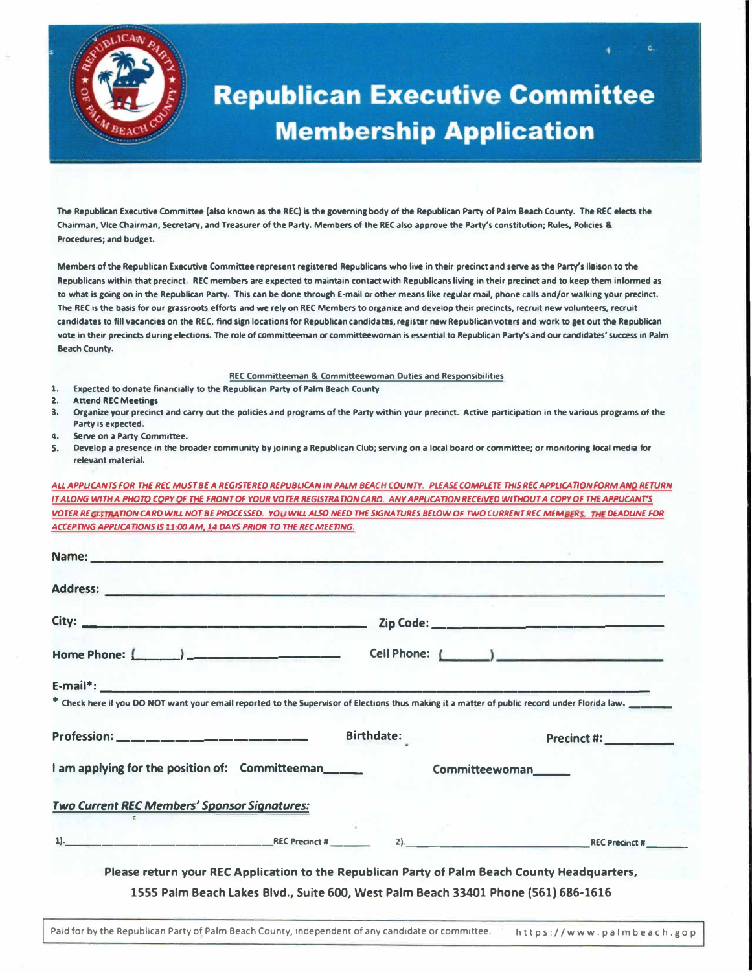

# **Republican Executive Committee Membership Application**

**The Republican Executive Committee (also known as the REC) is the governing body of the Republican Party of Palm Beach County. The REC elects the Chairman, Vice Chairman, secretary, and Treasurer of the Party. Members of the REC also approve the Party's constitution; Rules, Policies & Procedures; and budget.** 

Members of the Republican Executive Committee represent registered Republicans who live in their precinct and serve as the Party's liaison to the **Republicans within that precinct. REC members are expected to maintain contact with Republicans living in their precinct and to keep them informed as to what is going on in the Republican Party. This can be done through E-mail or other means like regular mall, phone calls and/or walking your precinct.**  The REC is the basis for our grassroots efforts and we rely on REC Members to organize and develop their precincts, recruit new volunteers, recruit **candidates to fill vacancies on the REC, find sign locations for Republican candidates, register new Republican voters and work to get out the Republican vote in their precincts during elections. The role of committeeman or committeewoman is essential to Republican Party's and our candidates' success in Palm Beach County.** 

#### **REC Committeeman & Committeewoman Duties and Responsibilities**

- **1. Expected to donate financially to the Republican Party of Palm Beach County**
- **2. Attend REC Meetings**
- **3. Organize your precinct and carry out the policies and programs of the Party within your precinct. Active participation in the various programs of the Party is expected.**
- **4. serve on a Party Committee.**
- **S. Develop a presence in the broader community by joining a Republican Club; serving on a local board or committee; or monitoring local media for relevant material.**

*ALL APPUCANTS FOR THE REC MUST BE A REGISTERED REPUBLICAN IN PALM BEACH COUNTY. PLEASE COMPLETf THIS REC APPL/CAT/ON FORM ANO RETURN*  IT ALONG WITH A PHOTO COPY OF THE FRONT OF YOUR VOTER REGISTRATION CARD. ANY APPLICATION RECEIVED WITHOUT A COPY OF THE APPLICANT'S VOTER REGISTRATION CARD WILL NOT BE PROCESSED. YOU WILL ALSO NEED THE SKSNATURES BELOW OF TWO CURRENT REC MEMBERS. THE DEADLINE FOR ACCEPTING APPUCATIONS IS 11:00 AM, 14 DAYS PRIOR TO THE REC MEETING.

|                                                       |            |                | * Check here if you DO NOT want your email reported to the Supervisor of Elections thus making it a matter of public record under Florida law. |
|-------------------------------------------------------|------------|----------------|------------------------------------------------------------------------------------------------------------------------------------------------|
|                                                       |            |                |                                                                                                                                                |
|                                                       | Birthdate: |                | <b>Precinct #: __________</b>                                                                                                                  |
| I am applying for the position of: Committeeman______ |            | Committeewoman |                                                                                                                                                |
| <b>Two Current REC Members' Sponsor Signatures:</b>   |            |                |                                                                                                                                                |

Paid for by the Republican Party of Palm Beach County, independent of any candidate or committee. https://www.palmbeach.gop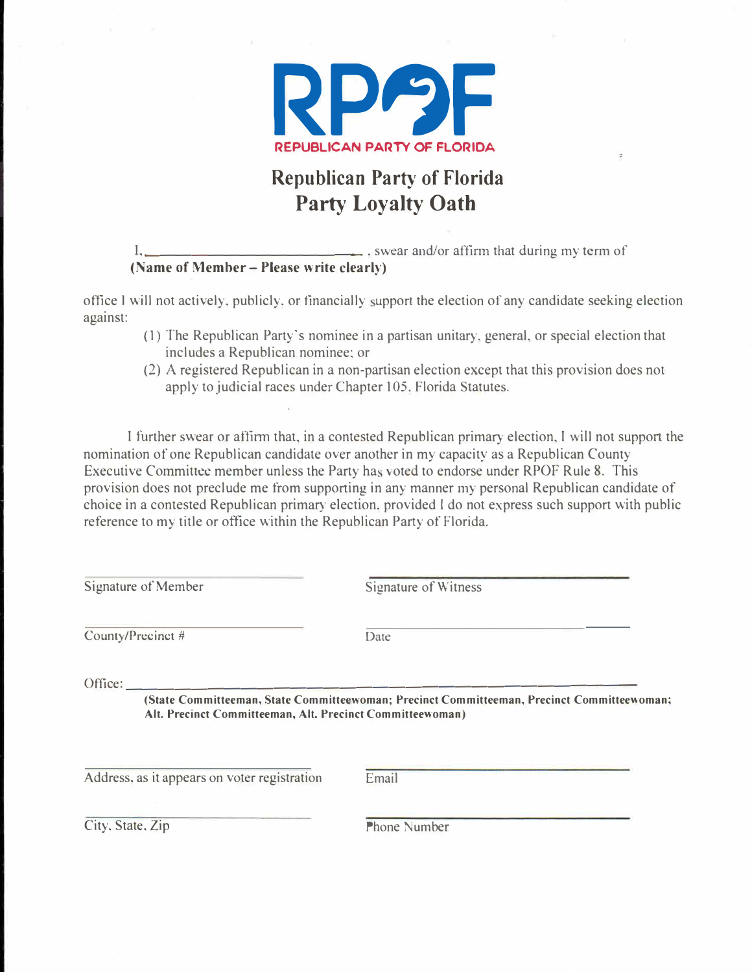

## **Republican Party of Florida Party Loyalty Oath**

 $1, \underline{\hspace{1cm}}$  . swear and/or affirm that during my term of **(Name of Member - Please write clearly)** 

office I will not actively, publicly, or financially support the election of any candidate seeking election against:

- (1) The Republican Party's nominee in a partisan unitary, general, or special election that includes a Republican nominee; or
- (2) A registered Republican in a non-partisan election except that this provision does not apply to judicial races under Chapter 105. Florida Statutes.

I further swear or affirm that, in a contested Republican primar<sup>y</sup>election, I will not suppon the nomination of one Republican candidate over another in my capacity as a Republican County Executive Committee member unless the Party has voted to endorse under RPOF Rule 8. This provision does not preclude me from supporting in any manner my personal Republican candidate of choice in a contested Republican primary election. provided I do not express such support with public reference to my title or office within the Republican Party of Florida.

Signature of Member Signature of Witness County/Precinct # Date Office: \_\_\_\_\_\_\_\_\_\_\_\_\_\_\_\_\_\_\_\_\_\_\_\_\_\_\_\_\_\_ \_ **(State Committeeman, State Committeewoman; Precinct Committeeman, Precinct Committeewoman; Alt. Precinct Committeeman, Alt. Precinct Committeewoman)**  Address, as it appears on voter registration Email

City, State, Zip Phone Number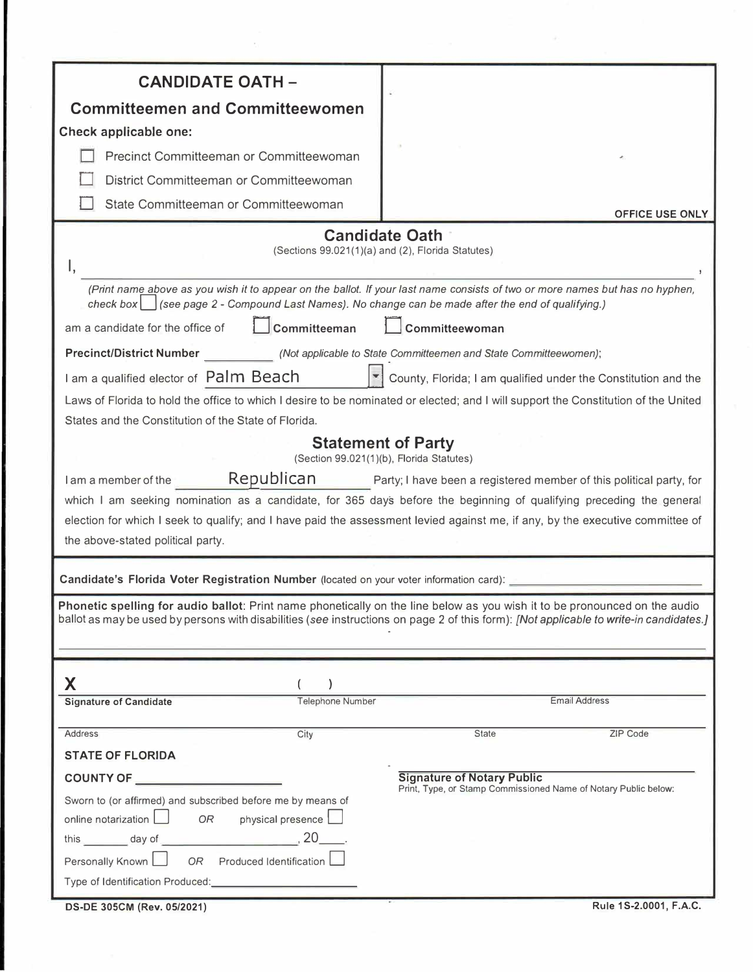| <b>CANDIDATE OATH -</b>                                                                                                    |                                                                                                                                        |  |
|----------------------------------------------------------------------------------------------------------------------------|----------------------------------------------------------------------------------------------------------------------------------------|--|
| <b>Committeemen and Committeewomen</b>                                                                                     |                                                                                                                                        |  |
| Check applicable one:                                                                                                      |                                                                                                                                        |  |
| Precinct Committeeman or Committeewoman                                                                                    |                                                                                                                                        |  |
| District Committeeman or Committeewoman                                                                                    |                                                                                                                                        |  |
|                                                                                                                            |                                                                                                                                        |  |
| State Committeeman or Committeewoman                                                                                       | <b>OFFICE USE ONLY</b>                                                                                                                 |  |
|                                                                                                                            | <b>Candidate Oath</b>                                                                                                                  |  |
|                                                                                                                            | (Sections 99.021(1)(a) and (2), Florida Statutes)                                                                                      |  |
|                                                                                                                            |                                                                                                                                        |  |
| check box<br>(see page 2 - Compound Last Names). No change can be made after the end of qualifying.)                       | (Print name above as you wish it to appear on the ballot. If your last name consists of two or more names but has no hyphen,           |  |
| Committeeman<br>am a candidate for the office of                                                                           | Committeewoman                                                                                                                         |  |
| <b>Precinct/District Number</b>                                                                                            | (Not applicable to State Committeemen and State Committeewomen);                                                                       |  |
| I am a qualified elector of Palm Beach                                                                                     | County, Florida; I am qualified under the Constitution and the                                                                         |  |
|                                                                                                                            | Laws of Florida to hold the office to which I desire to be nominated or elected; and I will support the Constitution of the United     |  |
| States and the Constitution of the State of Florida.                                                                       |                                                                                                                                        |  |
|                                                                                                                            | <b>Statement of Party</b>                                                                                                              |  |
|                                                                                                                            | (Section 99.021(1)(b), Florida Statutes)                                                                                               |  |
| Republican<br>I am a member of the                                                                                         | Party; I have been a registered member of this political party, for                                                                    |  |
|                                                                                                                            | which I am seeking nomination as a candidate, for 365 days before the beginning of qualifying preceding the general                    |  |
|                                                                                                                            | election for which I seek to qualify; and I have paid the assessment levied against me, if any, by the executive committee of          |  |
| the above-stated political party.                                                                                          |                                                                                                                                        |  |
| Candidate's Florida Voter Registration Number (located on your voter information card):                                    |                                                                                                                                        |  |
| Phonetic spelling for audio ballot: Print name phonetically on the line below as you wish it to be pronounced on the audio |                                                                                                                                        |  |
|                                                                                                                            | ballot as may be used by persons with disabilities (see instructions on page 2 of this form): [Not applicable to write-in candidates.] |  |
|                                                                                                                            |                                                                                                                                        |  |
|                                                                                                                            |                                                                                                                                        |  |
| X                                                                                                                          |                                                                                                                                        |  |
| <b>Signature of Candidate</b><br>Telephone Number                                                                          | <b>Email Address</b>                                                                                                                   |  |
| City<br><b>Address</b>                                                                                                     | ZIP Code<br><b>State</b>                                                                                                               |  |
| <b>STATE OF FLORIDA</b>                                                                                                    |                                                                                                                                        |  |
|                                                                                                                            | <b>Signature of Notary Public</b>                                                                                                      |  |
| Sworn to (or affirmed) and subscribed before me by means of                                                                | Print, Type, or Stamp Commissioned Name of Notary Public below:                                                                        |  |
| online notarization $\Box$<br>physical presence<br>OR                                                                      |                                                                                                                                        |  |
|                                                                                                                            |                                                                                                                                        |  |
| Personally Known<br>$OR$ Produced Identification                                                                           |                                                                                                                                        |  |
|                                                                                                                            |                                                                                                                                        |  |
| DS-DE 305CM (Rev. 05/2021)                                                                                                 | Rule 1S-2.0001, F.A.C.                                                                                                                 |  |